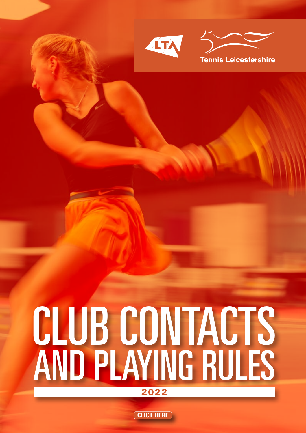

# CLUB CONTACTS AND PLAYING RULES **2022**

**CLICK HERE**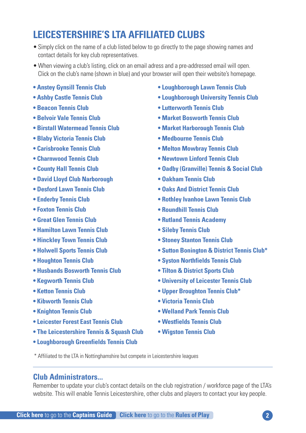### <span id="page-1-0"></span>**LEICESTERSHIRE'S LTA AFFILIATED CLUBS**

- Simply click on the name of a club listed below to go directly to the page showing names and contact details for key club representatives.
- When viewing a club's listing, click on an email adress and a pre-addressed email will open. Click on the club's name (shown in blue) and your browser will open their website's homepage.
- **• Anstey [Gynsill](#page-2-0) Tennis Club**
- **• Ashby Castle [Tennis](#page-2-0) Club**
- **• [Beacon](#page-2-0) Tennis Club**
- **• [Belvoir](#page-2-0) Vale Tennis Club**
- **• Birstall [Watermead](#page-3-0) Tennis Club**
- **• Blaby [Victoria](#page-3-0) Tennis Club**
- **• [Carisbrooke](#page-3-0) Tennis Club**
- **• [Charnwood](#page-4-0) Tennis Club**
- **• [County](#page-4-0) Hall Tennis Club**
- **• David Lloyd Club [Narborough](#page-4-0)**
- **• [Desford](#page-4-0) Lawn Tennis Club**
- **• [Enderby](#page-5-0) Tennis Club**
- **• [Foxton](#page-5-0) Tennis Club**
- **• Great Glen [Tennis](#page-5-0) Club**
- **• [Hamilton](#page-5-0) Lawn Tennis Club**
- **• [Hinckley](#page-5-0) Town Tennis Club**
- **• [Holwell](#page-6-0) Sports Tennis Club**
- **• [Houghton](#page-6-0) Tennis Club**
- **• [Husbands](#page-6-0) Bosworth Tennis Club**
- **• [Kegworth](#page-6-0) Tennis Club**
- **• Ketton [Tennis](#page-7-0) Club**
- **• [Kibworth](#page-7-0) Tennis Club**
- **• [Knighton](#page-7-0) Tennis Club**
- **• [Leicester](#page-7-0) Forest East Tennis Club**
- **• The [Leicestershire](#page-8-0) Tennis & Squash Club**
- **• [Loughborough](#page-8-0) Greenfields Tennis Club**
- **• [Loughborough](#page-8-0) Lawn Tennis Club**
- **• [Loughborough](#page-9-0) University Tennis Club**
- **• [Lutterworth](#page-9-0) Tennis Club**
- **• Market [Bosworth](#page-9-0) Tennis Club**
- **• Market [Harborough](#page-10-0) Tennis Club**
- **• [Medbourne](#page-10-0) Tennis Club**
- **• Melton [Mowbray](#page-10-0) Tennis Club**
- **• [Newtown](#page-10-0) Linford Tennis Club**
- **• Oadby [\(Granville\)](#page-11-0) Tennis & Social Club**
- **• [Oakham](#page-11-0) Tennis Club**
- **• Oaks And [District](#page-11-0) Tennis Club**
- **• Rothley [Ivanhoe](#page-12-0) Lawn Tennis Club**
- **• [Roundhill](#page-12-0) Tennis Club**
- **• Rutland Tennis [Academy](#page-12-0)**
- **• Sileby [Tennis](#page-13-0) Club**
- **• Stoney [Stanton](#page-13-0) Tennis Club**
- **• Sutton [Bonington](#page-13-0) & District Tennis Club\***
- **• Syston [Northfields](#page-14-0) Tennis Club**
- **• Tilton & [District](#page-14-0) Sports Club**
- **• [University](#page-14-0) of Leicester Tennis Club**
- **• Upper [Broughton](#page-14-0) Tennis Club\***
- **• [Victoria](#page-15-0) Tennis Club**
- **• [Welland](#page-15-0) Park Tennis Club**
- **• [Westfields](#page-15-0) Tennis Club**
- **• [Wigston](#page-16-0) Tennis Club**
- \* Affiliated to the LTA in Nottinghamshire but compete in Leicestershire leagues

#### **Club Administrators...**

Remember to update your club's contact details on the club registration / workforce page of the LTA's website. This will enable Tennis Leicestershire, other clubs and players to contact your key people.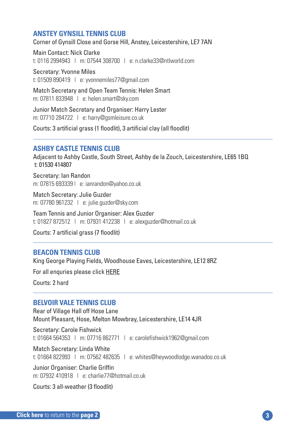#### <span id="page-2-0"></span>**ANSTEY GYNSILL TENNIS CLUB**

Corner of Gynsill Close and Gorse Hill, Anstey, Leicestershire, LE7 7AN

Main Contact: Nick Clarke t: 0116 2994943 | m: 07544 308700 | e: n.clarke33@ntlworld.com

Secretary: Yvonne Miles t: 01509 890419 | e: yvonnemiles77@gmail.com

Match Secretary and Open Team Tennis: Helen Smart m: 07811 833948 | e: helen.smart@sky.com

Junior Match Secretary and Organiser: Harry Lester m: 07710 284722 | e: harry@gsmleisure.co.uk

Courts: 3 artificial grass (1 floodlit), 3 artificial clay (all floodlit)

#### **ASHBY CASTLE TENNIS CLUB**

Adjacent to Ashby Castle, South Street, Ashby de la Zouch, Leicestershire, LE65 1BQ t: 01530 414807

Secretary: Ian Randon m: 07815 693339 | e: ianrandon@yahoo.co.uk

Match Secretary: Julie Guzder m: 07780 961232 | e: julie.guzder@sky.com

Team Tennis and Junior Organiser: Alex Guzder t: 01827 872512 | m: 07931 412238 | e: alexguzder@hotmail.co.uk

Courts: 7 artificial grass (7 floodlit)

#### **BEACON TENNIS CLUB**

King George Playing Fields, Woodhouse Eaves, Leicestershire, LE12 8RZ

For all enquries please click HERE

Courts: 2 hard

#### **BELVOIR VALE TENNIS CLUB**

Rear of Village Hall off Hose Lane Mount Pleasant, Hose, Melton Mowbray, Leicestershire, LE14 4JR

Secretary: Carole Fishwick t: 01664 564353 | m: 07716 862771 | e: carolefishwick1962@gmail.com

Match Secretary: Linda White t: 01664 822993 | m: 07562 482635 | e: whites@heywoodlodge.wanadoo.co.uk

Junior Organiser: Charlie Griffin m: 07932 410918 | e: charlie77@hotmail.co.uk

Courts: 3 all-weather (3 floodlit)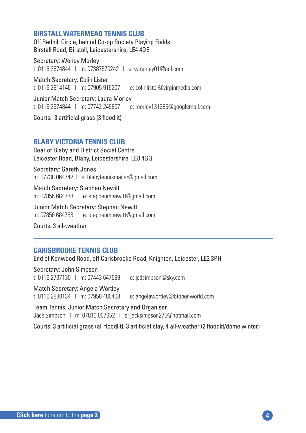#### <span id="page-3-0"></span>**BIRSTALL WATERMEAD TENNIS CLUB**

Off Redhill Circle, behind Co-op Society Playing Fields Birstall Road, Birstall, Leicestershire, LE4 4DE

Secretary: Wendy Morley t: 0116 2674844 | m: 07387570242 | e: wmorley01@aol.com

Match Secretary: Colin Lister t: 0116 2914146 | m: 07905 916207 | e: colinlister@virginmedia.com

Junior Match Secretary: Laura Morley t: 0116 2674844 | m: 07742 249807 | e: morley131285@googlemail.com

Courts: 3 artificial grass (3 floodlit)

#### **BLABY VICTORIA TENNIS CLUB**

Rear of Blaby and District Social Centre Leicester Road, Blaby, Leicestershire, LE8 4GQ

Secretary: Gareth Jones m: 07738 064742 | e: blabytennismailer@gmail.com

Match Secretary: Stephen Newitt m: 07856 684788 | e: stephenmnewitt@gmail.com

Junior Match Secretary: Stephen Newitt m: 07856 684788 | e: stephenmnewitt@gmail.com

Courts: 3 all-weather

#### **CARISBROOKE TENNIS CLUB**

End of Kenwood Road, off Carisbrooke Road, Knighton, Leicester, LE2 3PH

Secretary: John Simpson t: 0116 2737130 | m: 07443 647699 | e: jcdsimpson@sky.com

Match Secretary: Angela Wortley t: 0116 2880134 | m: 07958 480468 | e: angelawortley@btopenworld.com

Team Tennis, Junior Match Secretary and Organiser Jack Simpson | m: 07816 067652 | e: jacksimpson275@hotmail.com

Courts: 3 artificial grass (all floodlit), 3 artificial clay, 4 all-weather (2 floodlit/dome winter)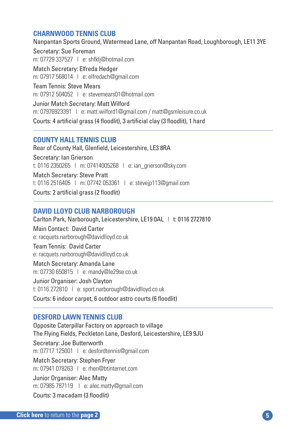#### <span id="page-4-0"></span>**CHARNWOOD TENNIS CLUB**

Nanpantan Sports Ground, Watermead Lane, off Nanpantan Road, Loughborough, LE11 3YE Secretary: Sue Foreman m: 07729 337527 | e: shfklj@hotmail.com Match Secretary: Elfreda Hedger m: 07917 568014 | e: elfredach@gmail.com Team Tennis: Steve Mears m: 07912 504052 | e: stevemears01@hotmail.com Junior Match Secretary: Matt Wilford m: 07976923391 | e: matt.wilford1@gmail.com / matt@gsmleisure.co.uk Courts: 4 artificial grass (4 floodlit), 3 artificial clay (3 floodlit), 1 hard

#### **COUNTY HALL TENNIS CLUB**

Rear of County Hall, Glenfield, Leicestershire, LE3 8RA Secretary: Ian Grierson t: 0116 2350265 | m: 07414005268 | e: ian\_grierson@sky.com Match Secretary: Steve Pratt t: 0116 2516405 | m: 07742 053361 | e: stevejp113@gmail.com Courts: 2 artificial grass (2 floodlit)

#### **DAVID LLOYD CLUB NARBOROUGH**

Carlton Park, Narborough, Leicestershire, LE19 0AL | t: 0116 2727810

Main Contact: David Carter e: racquets.narborough@davidlloyd.co.uk

Team Tennis: David Carter e: racquets.narborough@davidlloyd.co.uk

Match Secretary: Amanda Lane m: 07730 650815 | e: mandy@le29se.co.uk

Junior Organiser: Josh Clayton t: 0116 272810 | e: sport.narborough@davidlloyd.co.uk

Courts: 6 indoor carpet, 6 outdoor astro courts (6 floodlit)

#### **DESFORD LAWN TENNIS CLUB**

Opposite Caterpillar Factory on approach to village The Flying Fields, Peckleton Lane, Desford, Leicestershire, LE9 9JU Secretary: Joe Butterworth m: 07717 125001 | e: desfordtennis@gmail.com Match Secretary: Stephen Fryer m: 07941 078263 | e: rhen@btinternet.com Junior Organiser: Alec Matty m: 07985 787119 | e: alec.matty@gmail.com Courts: 3 macadam (3 floodlit)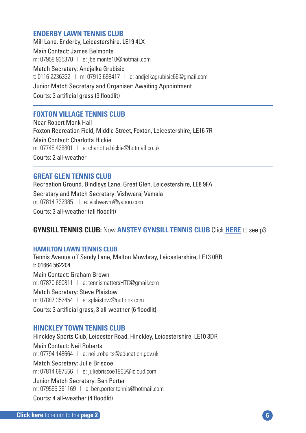#### <span id="page-5-0"></span>**ENDERBY LAWN TENNIS CLUB**

Mill Lane, Enderby, Leicestershire, LE19 4LX Main Contact: James Belmonte m: 07958 935370 | e: jbelmonte10@hotmail.com Match Secretary: Andjelka Grubisic t: 0116 2236332 | m: 07913 698417 | e: andjelkagrubisic66@gmail.com Junior Match Secretary and Organiser: Awaiting Appointment Courts: 3 artificial grass (3 floodlit)

#### **FOXTON VILLAGE TENNIS CLUB**

Near Robert Monk Hall Foxton Recreation Field, Middle Street, Foxton, Leicestershire, LE16 7R Main Contact: Charlotta Hickie m: 07748 426801 | e: charlotta hickie@hotmail.co.uk Courts: 2 all-weather

#### **GREAT GLEN TENNIS CLUB**

Recreation Ground, Bindleys Lane, Great Glen, Leicestershire, LE8 9FA

Secretary and Match Secretary: Vishwaraj Vemala m: 07814 732385 | e: vishwavm@yahoo.com

Courts: 3 all-weather (all floodlit)

#### **GYNSILL TENNIS CLUB:** Now **ANSTEY [GYNSILL](#page-2-0) TENNIS CLUB** Click **[HERE](#page-2-0)** to see p3

#### **HAMILTON LAWN TENNIS CLUB**

Tennis Avenue off Sandy Lane, Melton Mowbray, Leicestershire, LE13 0RB t: 01664 562204

Main Contact: Graham Brown m: 07870 690811 | e: tennismattersHTC@gmail.com

Match Secretary: Steve Plaistow m: 07887 352454 | e: splaistow@outlook.com

Courts: 3 artificial grass, 3 all-weather (6 floodlit)

#### **HINCKLEY TOWN TENNIS CLUB**

Hinckley Sports Club, Leicester Road, Hinckley, Leicestershire, LE10 3DR

Main Contact: Neil Roberts m: 07794 148664 | e: neil.roberts@education.gov.uk

Match Secretary: Julie Briscoe m: 07814 697556 | e: juliebriscoe1965@icloud.com

Junior Match Secretary: Ben Porter m: 079595 361169 | e: ben.porter.tennis@hotmail.com

Courts: 4 all-weather (4 floodlit)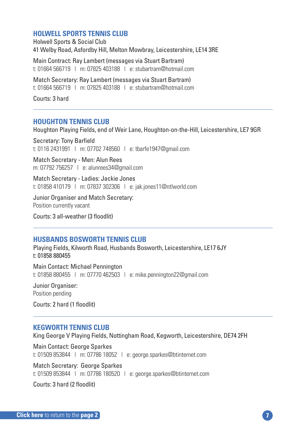#### <span id="page-6-0"></span>**HOLWELL SPORTS TENNIS CLUB**

Holwell Sports & Social Club 41 Welby Road, Asfordby Hill, Melton Mowbray, Leicestershire, LE14 3RE

Main Contract: Ray Lambert (messages via Stuart Bartram) t: 01664 566719 | m: 07825 403188 | e: stubartram@hotmail.com

Match Secretary: Ray Lambert (messages via Stuart Bartram) t: 01664 566719 | m: 07825 403188 | e: stubartram@hotmail.com

Courts: 3 hard

#### **HOUGHTON TENNIS CLUB**

Houghton Playing Fields, end of Weir Lane, Houghton-on-the-Hill, Leicestershire, LE7 9GR

Secretary: Tony Barfield t: 0116 2431991 | m: 07702 748560 | e: tbarfe1947@gmail.com

Match Secretary - Men: Alun Rees m: 07792 756257 | e: alunrees34@gmail.com

Match Secretary - Ladies: Jackie Jones t: 01858 410179 | m: 07837 302306 | e: jak.jones11@ntlworld.com

Junior Organiser and Match Secretary: Position currently vacant

Courts: 3 all-weather (3 floodlit)

#### **HUSBANDS BOSWORTH TENNIS CLUB**

Playing Fields, Kilworth Road, Husbands Bosworth, Leicestershire, LE17 6JY t: 01858 880455

Main Contact: Michael Pennington t: 01858 880455 | m: 07770 462503 | e: mike.pennington22@gmail.com

Junior Organiser: Position pending

Courts: 2 hard (1 floodlit)

#### **KEGWORTH TENNIS CLUB**

King George V Playing Fields, Nottingham Road, Kegworth, Leicestershire, DE74 2FH

Main Contact: George Sparkes t: 01509 853844 | m: 07786 18052 | e: george.sparkes@btinternet.com

Match Secretary: George Sparkes t: 01509 853844 | m: 07786 180520 | e: george.sparkes@btinternet.com

Courts: 3 hard (2 floodlit)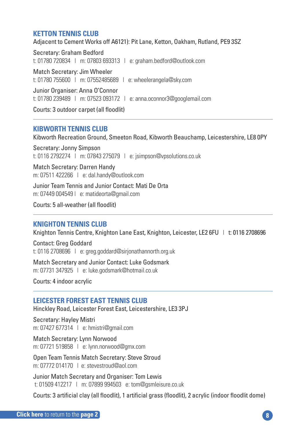#### <span id="page-7-0"></span>**KETTON TENNIS CLUB**

Adjacent to Cement Works off A6121): Pit Lane, Ketton, Oakham, Rutland, PE9 3SZ

Secretary: Graham Bedford t: 01780 720834 | m: 07803 693313 | e: graham.bedford@outlook.com Match Secretary: Jim Wheeler t: 01780 755600 | m: 07552485689 | e: wheelerangela@sky.com Junior Organiser: Anna O'Connor

t: 01780 239489 | m: 07523 093172 | e: anna.oconnor3@googlemail.com

Courts: 3 outdoor carpet (all floodlit)

#### **KIBWORTH TENNIS CLUB**

Kibworth Recreation Ground, Smeeton Road, Kibworth Beauchamp, Leicestershire, LE8 0PY

Secretary: Jonny Simpson t: 0116 2792274 | m: 07843 275079 | e: jsimpson@vpsolutions.co.uk

Match Secretary: Darren Handy m: 07511 422266 | e: dal.handy@outlook.com

Junior Team Tennis and Junior Contact: Mati De Orta m: 07449 004549 | e: matideorta@gmail.com

Courts: 5 all-weather (all floodlit)

#### **KNIGHTON TENNIS CLUB**

Knighton Tennis Centre, Knighton Lane East, Knighton, Leicester, LE2 6FU | t: 0116 2708696

Contact: Greg Goddard t: 0116 2708696 | e: greg.goddard@sirjonathannorth.org.uk

Match Secretary and Junior Contact: Luke Godsmark m: 07731 347925 | e: luke.godsmark@hotmail.co.uk

Courts: 4 indoor acrylic

#### **LEICESTER FOREST EAST TENNIS CLUB**

Hinckley Road, Leicester Forest East, Leicestershire, LE3 3PJ

Secretary: Hayley Mistri m: 07427 677314 | e: hmistri@gmail.com

Match Secretary: Lynn Norwood m: 07721 519858 | e: lynn.norwood@gmx.com

Open Team Tennis Match Secretary: Steve Stroud m: 07772 014170 | e: stevestroud@aol.com

Junior Match Secretary and Organiser: Tom Lewis t: 01509 412217 | m: 07899 994503 e: tom@gsmleisure.co.uk

Courts: 3 artificial clay (all floodlit), 1 artificial grass (floodlit), 2 acrylic (indoor floodlit dome)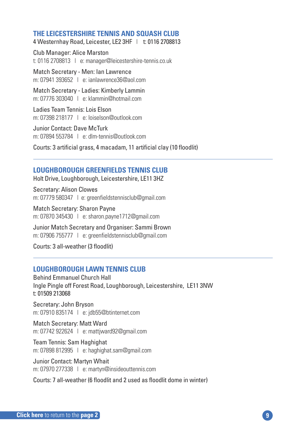#### <span id="page-8-0"></span>**THE LEICESTERSHIRE TENNIS AND SQUASH CLUB**

4 Westernhay Road, Leicester, LE2 3HF | t: 0116 2708813

Club Manager: Alice Marston t: 0116 2708813 | e: manager@leicestershire-tennis.co.uk

Match Secretary - Men: Ian Lawrence m: 07941 393652 | e: ianlawrence36@aol.com

Match Secretary - Ladies: Kimberly Lammin m: 07776 303040 | e: klammin@hotmail.com

Ladies Team Tennis: Lois Elson m: 07398 218177 | e: loiselson@outlook.com

Junior Contact: Dave McTurk m: 07894 553784 | e: dlm-tennis@outlook.com

Courts: 3 artificial grass, 4 macadam, 11 artificial clay (10 floodlit)

#### **LOUGHBOROUGH GREENFIELDS TENNIS CLUB**

Holt Drive, Loughborough, Leicestershire, LE11 3HZ

Secretary: Alison Clowes m: 07779 580347 | e: greenfieldstennisclub@gmail.com

Match Secretary: Sharon Payne m: 07870 345430 | e: sharon.payne1712@gmail.com

Junior Match Secretary and Organiser: Sammi Brown m: 07906 755777 | e: greenfieldstennisclub@gmail.com

Courts: 3 all-weather (3 floodlit)

#### **LOUGHBOROUGH LAWN TENNIS CLUB**

Behind Emmanuel Church Hall Ingle Pingle off Forest Road, Loughborough, Leicestershire, LE11 3NW t: 01509 213068

Secretary: John Bryson m: 07910 835174 | e: jdb55@btinternet.com

Match Secretary: Matt Ward m: 07742 922624 | e: mattjward92@gmail.com

Team Tennis: Sam Haghighat m: 07898 812995 | e: haghighat.sam@gmail.com

Junior Contact: Martyn Whait m: 07970 277338 | e: martyn@insideouttennis.com

Courts: 7 all-weather (6 floodlit and 2 used as floodlit dome in winter)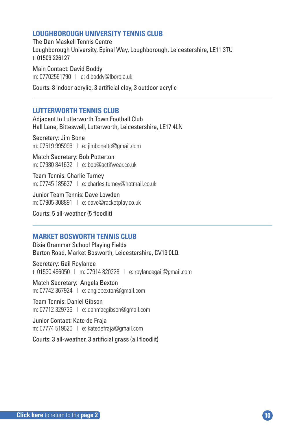#### <span id="page-9-0"></span>**LOUGHBOROUGH UNIVERSITY TENNIS CLUB**

The Dan Maskell Tennis Centre Loughborough University, Epinal Way, Loughborough, Leicestershire, LE11 3TU t: 01509 226127

Main Contact: David Boddy m: 07702561790 | e: d.boddy@lboro.a.uk

Courts: 8 indoor acrylic, 3 artificial clay, 3 outdoor acrylic

#### **LUTTERWORTH TENNIS CLUB**

Adjacent to Lutterworth Town Football Club Hall Lane, Bitteswell, Lutterworth, Leicestershire, LE17 4LN

Secretary: Jim Bone m: 07519 995996 | e: jimboneltc@gmail.com

Match Secretary: Bob Potterton m: 07980 841632 | e: bob@actifwear.co.uk

Team Tennis: Charlie Turney m: 07745 185637 | e: charles.turney@hotmail.co.uk

Junior Team Tennis: Dave Lowden m: 07905 308891 | e: dave@racketplay.co.uk

Courts: 5 all-weather (5 floodlit)

#### **MARKET BOSWORTH TENNIS CLUB**

Dixie Grammar School Playing Fields Barton Road, Market Bosworth, Leicestershire, CV13 0LQ

Secretary: Gail Roylance t: 01530 456050 | m: 07914 820228 | e: roylancegail@gmail.com

Match Secretary: Angela Bexton m: 07742 367924 | e: angiebexton@gmail.com

Team Tennis: Daniel Gibson m: 07712 329736 | e: danmacgibson@gmail.com

Junior Contact: Kate de Fraja m: 07774 519620 | e: katedefraja@gmail.com

Courts: 3 all-weather, 3 artificial grass (all floodlit)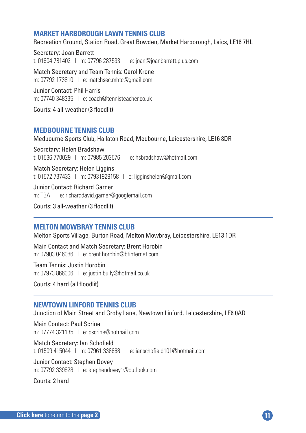#### <span id="page-10-0"></span>**MARKET HARBOROUGH LAWN TENNIS CLUB**

Recreation Ground, Station Road, Great Bowden, Market Harborough, Leics, LE16 7HL

Secretary: Joan Barrett t: 01604 781402 | m: 07796 287533 | e: joan@joanbarrett.plus.com

Match Secretary and Team Tennis: Carol Krone m: 07792 173810 | e: matchsec.mhtc@gmail.com

Junior Contact: Phil Harris m: 07740 348335 | e: coach@tennisteacher.co.uk

Courts: 4 all-weather (3 floodlit)

#### **MEDBOURNE TENNIS CLUB**

Medbourne Sports Club, Hallaton Road, Medbourne, Leicestershire, LE16 8DR

Secretary: Helen Bradshaw t: 01536 770029 | m: 07985 203576 | e: hsbradshaw@hotmail.com

Match Secretary: Helen Liggins t: 01572 737433 | m: 07931929158 | e: ligginshelen@gmail.com

Junior Contact: Richard Garner m: TBA | e: richarddavid.garner@googlemail.com

Courts: 3 all-weather (3 floodlit)

#### **MELTON MOWBRAY TENNIS CLUB**

Melton Sports Village, Burton Road, Melton Mowbray, Leicestershire, LE13 1DR

Main Contact and Match Secretary: Brent Horobin m: 07903 046086 | e: brent horobin@btinternet.com

Team Tennis: Justin Horobin m: 07973 866006 | e: justin.bully@hotmail.co.uk

Courts: 4 hard (all floodlit)

#### **NEWTOWN LINFORD TENNIS CLUB**

Junction of Main Street and Groby Lane, Newtown Linford, Leicestershire, LE6 0AD

Main Contact: Paul Scrine m: 07774 321135 | e: pscrine@hotmail.com

Match Secretary: Ian Schofield t: 01509 415044 | m: 07961 338668 | e: ianschofield101@hotmail.com

Junior Contact: Stephen Dovey m: 07792 339828 | e: stephendovey1@outlook.com

Courts: 2 hard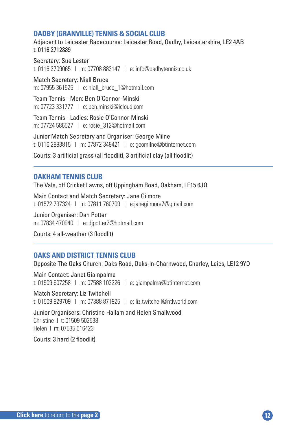#### <span id="page-11-0"></span>**OADBY (GRANVILLE) TENNIS & SOCIAL CLUB**

Adjacent to Leicester Racecourse: Leicester Road, Oadby, Leicestershire, LE2 4AB t: 0116 2712889

Secretary: Sue Lester t: 0116 2709065 | m: 07708 883147 | e: info@oadbytennis.co.uk

Match Secretary: Niall Bruce m: 07955 361525 | e: niall\_bruce\_1@hotmail.com

Team Tennis - Men: Ben O'Connor-Minski m: 07723 331777  $\perp$  e: ben.minski@icloud.com

Team Tennis - Ladies: Rosie O'Connor-Minski m: 07724 586527 | e: rosie\_312@hotmail.com

Junior Match Secretary and Organiser: George Milne t: 0116 2883815 | m: 07872 348421 | e: geomilne@btinternet.com

Courts: 3 artificial grass (all floodlit), 3 artificial clay (all floodlit)

#### **OAKHAM TENNIS CLUB**

The Vale, off Cricket Lawns, off Uppingham Road, Oakham, LE15 6JQ

Main Contact and Match Secretary: Jane Gilmore t: 01572 737324 | m: 07811 760709 | e:janegilmore7@gmail.com

Junior Organiser: Dan Potter m: 07834 470940 | e: djpotter2@hotmail.com

Courts: 4 all-weather (3 floodlit)

#### **OAKS AND DISTRICT TENNIS CLUB**

Opposite The Oaks Church: Oaks Road, Oaks-in-Charnwood, Charley, Leics, LE12 9YD

Main Contact: Janet Giampalma t: 01509 507258 | m: 07588 102226 | e: giampalma@btinternet.com

Match Secretary: Liz Twitchell t: 01509 829709 | m: 07388 871925 | e: liz.twitchell@ntlworld.com

Junior Organisers: Christine Hallam and Helen Smallwood Christine | t: 01509 502538 Helen | m: 07535 016423

Courts: 3 hard (2 floodlit)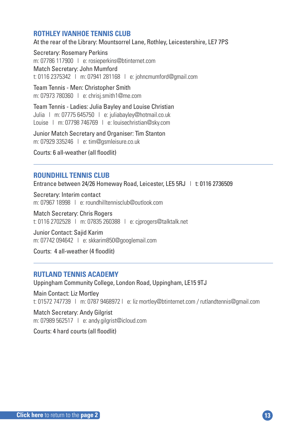#### <span id="page-12-0"></span>**ROTHLEY IVANHOE TENNIS CLUB**

At the rear of the Library: Mountsorrel Lane, Rothley, Leicestershire, LE7 7PS

Secretary: Rosemary Perkins m: 07786 117900 | e: rosieperkins@btinternet.com Match Secretary: John Mumford t: 0116 2375342 | m: 07941 281168 | e: johncmumford@gmail.com

Team Tennis - Men: Christopher Smith m: 07973 780360 | e: chrisj.smith1@me.com

Team Tennis - Ladies: Julia Bayley and Louise Christian Julia | m: 07775 645750 | e: juliabayley@hotmail.co.uk Louise | m: 07798 746769 | e: louisechristian@sky.com

Junior Match Secretary and Organiser: Tim Stanton m: 07929 335246 | e: tim@gsmleisure.co.uk

Courts: 6 all-weather (all floodlit)

#### **ROUNDHILL TENNIS CLUB**

Entrance between 24/26 Homeway Road, Leicester, LE5 5RJ | t: 0116 2736509

Secretary: Interim contact m: 07967 18998 | e: roundhilltennisclub@outlook.com

Match Secretary: Chris Rogers t: 0116 2702528 | m: 07835 260388 | e: cjprogers@talktalk.net

Junior Contact: Sajid Karim m: 07742 094642 | e: skkarim850@googlemail.com

Courts: 4 all-weather (4 floodlit)

#### **RUTLAND TENNIS ACADEMY**

Uppingham Community College, London Road, Uppingham, LE15 9TJ

Main Contact: Liz Mortley t: 01572 747739 | m: 0787 9468972 | e: liz mortley@btinternet.com / rutlandtennis@gmail.com

Match Secretary: Andy Gilgrist m: 07989 562517 | e: andy.gilgrist@icloud.com

Courts: 4 hard courts (all floodlit)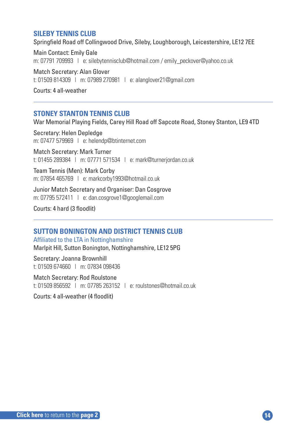#### <span id="page-13-0"></span>**SILEBY TENNIS CLUB**

Springfield Road off Collingwood Drive, Sileby, Loughborough, Leicestershire, LE12 7EE

Main Contact: Emily Gale m: 07791 709993 | e: silebytennisclub@hotmail.com / emily\_peckover@yahoo.co.uk

Match Secretary: Alan Glover t: 01509 814309 | m: 07989 270981 | e: alanglover21@gmail.com

Courts: 4 all-weather

#### **STONEY STANTON TENNIS CLUB**

War Memorial Playing Fields, Carey Hill Road off Sapcote Road, Stoney Stanton, LE9 4TD

Secretary: Helen Depledge m: 07477 579969 | e: helendp@btinternet.com

Match Secretary: Mark Turner t: 01455 289384 | m: 07771 571534 | e: mark@turnerjordan.co.uk

Team Tennis (Men): Mark Corby m: 07854 465769 | e: markcorby1993@hotmail.co.uk

Junior Match Secretary and Organiser: Dan Cosgrove m: 07795 572411 | e: dan.cosgrove1@googlemail.com

Courts: 4 hard (3 floodlit)

#### **SUTTON BONINGTON AND DISTRICT TENNIS CLUB**

Affiliated to the LTA in Nottinghamshire Marlpit Hill, Sutton Bonington, Nottinghamshire, LE12 5PG

Secretary: Joanna Brownhill t: 01509 674660 | m: 07834 098436

Match Secretary: Rod Roulstone t: 01509 856592 | m: 07785 263152 | e: roulstones@hotmail.co.uk

Courts: 4 all-weather (4 floodlit)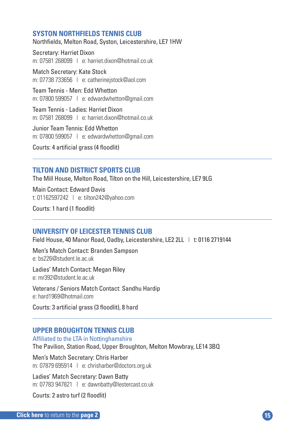#### <span id="page-14-0"></span>**SYSTON NORTHFIELDS TENNIS CLUB**

Northfields, Melton Road, Syston, Leicestershire, LE7 1HW

Secretary: Harriet Dixon m: 07581 268099 | e: harriet dixon@hotmail.co.uk

Match Secretary: Kate Stock m: 07738 733656 | e: catherinejstock@aol.com

Team Tennis - Men: Edd Whetton m: 07800 599057 | e: edwardwhetton@gmail.com

Team Tennis - Ladies: Harriet Dixon m: 07581 268099 | e: harriet dixon@hotmail.co.uk

Junior Team Tennis: Edd Whetton m: 07800 599057 | e: edwardwhetton@gmail.com

Courts: 4 artificial grass (4 floodlit)

#### **TILTON AND DISTRICT SPORTS CLUB**

The Mill House, Melton Road, Tilton on the Hill, Leicestershire, LE7 9LG

Main Contact: Edward Davis t: 01162597242 | e: tilton242@yahoo.com

Courts: 1 hard (1 floodlit)

#### **UNIVERSITY OF LEICESTER TENNIS CLUB**

Field House, 40 Manor Road, Oadby, Leicestershire, LE2 2LL | t: 0116 2719144

Men's Match Contact: Branden Sampson e: bs226@student.le.ac.uk

Ladies' Match Contact: Megan Riley e: mr392@student.le.ac.uk

Veterans / Seniors Match Contact: Sandhu Hardip e: hard1969@hotmail.com

Courts: 3 artificial grass (3 floodlit), 8 hard

#### **UPPER BROUGHTON TENNIS CLUB**

Affiliated to the LTA in Nottinghamshire

The Pavilion, Station Road, Upper Broughton, Melton Mowbray, LE14 3BQ

Men's Match Secretary: Chris Harber m: 07879 695914 | e: chrisharber@doctors.org.uk

Ladies' Match Secretary: Dawn Batty m: 07783 947821 | e: dawnbatty@lestercast.co.uk

Courts: 2 astro turf (2 floodlit)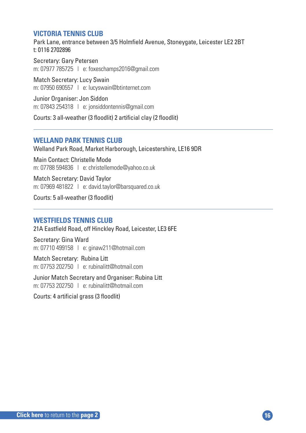#### <span id="page-15-0"></span>**VICTORIA TENNIS CLUB**

Park Lane, entrance between 3/5 Holmfield Avenue, Stoneygate, Leicester LE2 2BT t: 0116 2702896

Secretary: Gary Petersen m: 07977 785725 | e: foxeschamps2016@gmail.com

Match Secretary: Lucy Swain m: 07950 690557 | e: lucyswain@btinternet.com

Junior Organiser: Jon Siddon m: 07843 254318 | e: jonsiddontennis@gmail.com

Courts: 3 all-weather (3 floodlit) 2 artificial clay (2 floodlit)

#### **WELLAND PARK TENNIS CLUB**

Welland Park Road, Market Harborough, Leicestershire, LE16 9DR

Main Contact: Christelle Mode m: 07788 594836 | e: christellemode@yahoo.co.uk

Match Secretary: David Taylor m: 07969 481822 | e: david.taylor@barsquared.co.uk

Courts: 5 all-weather (3 floodlit)

#### **WESTFIELDS TENNIS CLUB**

21A Eastfield Road, off Hinckley Road, Leicester, LE3 6FE

Secretary: Gina Ward m: 07710 499158 | e: ginaw211@hotmail.com

Match Secretary: Rubina Litt m: 07753 202750 | e: rubinalitt@hotmail.com

Junior Match Secretary and Organiser: Rubina Litt m: 07753 202750 | e: rubinalitt@hotmail.com

Courts: 4 artificial grass (3 floodlit)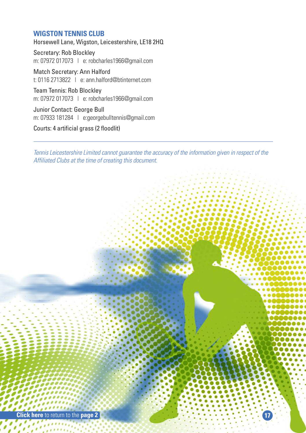#### <span id="page-16-0"></span>**WIGSTON TENNIS CLUB**

Horsewell Lane, Wigston, Leicestershire, LE18 2HQ

Secretary: Rob Blockley m: 07972 017073 | e: robcharles1966@gmail.com

Match Secretary: Ann Halford t: 0116 2713822 | e: ann.halford@btinternet.com

Team Tennis: Rob Blockley m: 07972 017073 | e: robcharles1966@gmail.com

Junior Contact: George Bull m: 07933 181284 | e:georgebulltennis@gmail.com

Courts: 4 artificial grass (2 floodlit)

*Tennis Leicestershire Limited cannot guarantee the accuracy of the information given in respect of the Affiliated Clubs at the time of creating this document.*

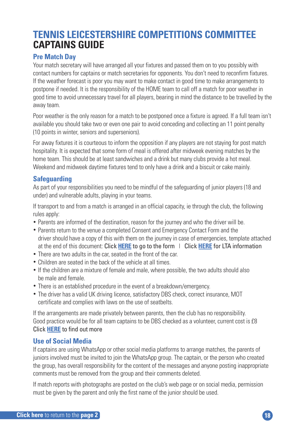### <span id="page-17-0"></span>**TENNIS LEICESTERSHIRE COMPETITIONS COMMITTEE CAPTAINS GUIDE**

#### **Pre Match Day**

Your match secretary will have arranged all your fixtures and passed them on to you possibly with contact numbers for captains or match secretaries for opponents. You don't need to reconfirm fixtures. If the weather forecast is poor you may want to make contact in good time to make arrangements to postpone if needed. It is the responsibility of the HOME team to call off a match for poor weather in good time to avoid unnecessary travel for all players, bearing in mind the distance to be travelled by the away team.

Poor weather is the only reason for a match to be postponed once a fixture is agreed. If a full team isn't available you should take two or even one pair to avoid conceding and collecting an 11 point penalty (10 points in winter, seniors and superseniors).

For away fixtures it is courteous to inform the opposition if any players are not staying for post match hospitality. It is expected that some form of meal is offered after midweek evening matches by the home team. This should be at least sandwiches and a drink but many clubs provide a hot meal. Weekend and midweek daytime fixtures tend to only have a drink and a biscuit or cake mainly.

#### **Safeguarding**

As part of your responsibilities you need to be mindful of the safeguarding of junior players (18 and under) and vulnerable adults, playing in your teams.

If transport to and from a match is arranged in an official capacity, ie through the club, the following rules apply:

- Parents are informed of the destination, reason for the journey and who the driver will be.
- Parents return to the venue a completed Consent and Emergency Contact Form and the driver should have a copy of this with them on the journey in case of emergencies, template attached at the end of this document: Click **[HERE](#page-35-0)** to go to the form | Click **HERE** for LTA information
- There are two adults in the car, seated in the front of the car.
- Children are seated in the back of the vehicle at all times.
- If the children are a mixture of female and male, where possible, the two adults should also be male and female.
- There is an established procedure in the event of a breakdown/emergency.
- The driver has a valid UK driving licence, satisfactory DBS check, correct insurance, MOT certificate and complies with laws on the use of seatbelts.

If the arrangements are made privately between parents, then the club has no responsibility. Good practice would be for all team captains to be DBS checked as a volunteer, current cost is £8 Click **HERE** to find out more

#### **Use of Social Media**

If captains are using WhatsApp or other social media platforms to arrange matches, the parents of juniors involved must be invited to join the WhatsApp group. The captain, or the person who created the group, has overall responsibility for the content of the messages and anyone posting inappropriate comments must be removed from the group and their comments deleted.

If match reports with photographs are posted on the club's web page or on social media, permission must be given by the parent and only the first name of the junior should be used.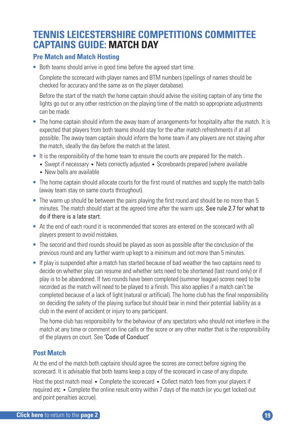### **TENNIS LEICESTERSHIRE COMPETITIONS COMMITTEE CAPTAINS GUIDE: MATCH DAY**

#### **Pre Match and Match Hosting**

**•** Both teams should arrive in good time before the agreed start time.

**•** Complete the scorecard with player names and BTM numbers (spellings of names should be checked for accuracy and the same as on the player database).

**•** Before the start of the match the home captain should advise the visiting captain of any time the lights go out or any other restriction on the playing time of the match so appropriate adjustments can be made.

- The home captain should inform the away team of arrangements for hospitality after the match. It is expected that players from both teams should stay for the after match refreshments if at all possible. The away team captain should inform the home team if any players are not staying after the match, ideally the day before the match at the latest.
- It is the responsibility of the home team to ensure the courts are prepared for the match...
	- Swept if necessary Nets correctly adjusted Scoreboards prepared (where available
	- New balls are available
- The home captain should allocate courts for the first round of matches and supply the match balls (away team stay on same courts throughout).
- The warm up should be between the pairs playing the first round and should be no more than 5 minutes. The match should start at the agreed time after the warm ups. See rule 2.7 for what to do if there is a late start.
- At the end of each round it is recommended that scores are entered on the scorecard with all players present to avoid mistakes.
- The second and third rounds should be played as soon as possible after the conclusion of the previous round and any further warm up kept to a minimum and not more than 5 minutes.
- If play is suspended after a match has started because of bad weather the two captains need to decide on whether play can resume and whether sets need to be shortened (last round only) or if play is to be abandoned. If two rounds have been completed (summer league) scores need to be recorded as the match will need to be played to a finish. This also applies if a match can't be completed because of a lack of light (natural or artificial). The home club has the final responsibility on deciding the safety of the playing surface but should bear in mind their potential liability as a club in the event of accident or injury to any participant.

**•** The home club has responsibility for the behaviour of any spectators who should not interfere in the match at any time or comment on line calls or the score or any other matter that is the responsibility of the players on court. See 'Code of Conduct'

#### **Post Match**

At the end of the match both captains should agree the scores are correct before signing the scorecard. It is advisable that both teams keep a copy of the scorecard in case of any dispute.

Host the post match meal • Complete the scorecard • Collect match fees from your players if required etc • Complete the online result entry within 7 days of the match (or you get locked out and point penalties accrue).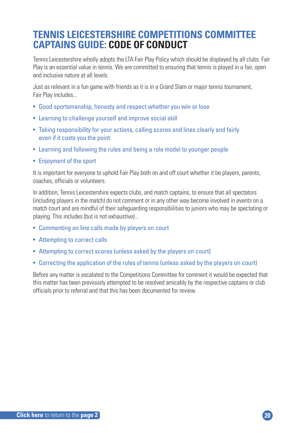### **TENNIS LEICESTERSHIRE COMPETITIONS COMMITTEE CAPTAINS GUIDE: CODE OF CONDUCT**

Tennis Leicestershire wholly adopts the LTA Fair Play Policy which should be displayed by all clubs. Fair Play is an essential value in tennis. We are committed to ensuring that tennis is played in a fair, open and inclusive nature at all levels.

Just as relevant in a fun game with friends as it is in a Grand Slam or major tennis tournament, Fair Play includes...

- Good sportsmanship, honesty and respect whether you win or lose
- Learning to challenge yourself and improve social skill
- Taking responsibility for your actions, calling scores and lines clearly and fairly even if it costs you the point
- Learning and following the rules and being a role model to younger people
- Enjoyment of the sport

It is important for everyone to uphold Fair Play both on and off court whether it be players, parents, coaches, officials or volunteers.

In addition, Tennis Leicestershire expects clubs, and match captains, to ensure that all spectators (including players in the match) do not comment or in any other way become involved in events on a match court and are mindful of their safeguarding responsibilities to juniors who may be spectating or playing. This includes (but is not exhaustive)...

- Commenting on line calls made by players on court
- Attempting to correct calls
- Attempting to correct scores (unless asked by the players on court)
- Correcting the application of the rules of tennis (unless asked by the players on court)

Before any matter is escalated to the Competitions Committee for comment it would be expected that this matter has been previously attempted to be resolved amicably by the respective captains or club officials prior to referral and that this has been documented for review.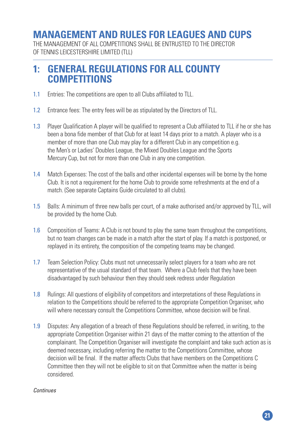### <span id="page-20-0"></span>**MANAGEMENT AND RULES FOR LEAGUES AND CUPS**

THE MANAGEMENT OF ALL COMPETITIONS SHALL BE ENTRUSTED TO THE DIRECTOR OF TENNIS LEICESTERSHIRE LIMITED (TLL)

### **1: GENERAL REGULATIONS FOR ALL COUNTY COMPETITIONS**

- 1.1 Entries: The competitions are open to all Clubs affiliated to TLL.
- 1.2 Entrance fees: The entry fees will be as stipulated by the Directors of TLL.
- 1.3 Player Qualification A player will be qualified to represent a Club affiliated to TLL if he or she has been a bona fide member of that Club for at least 14 days prior to a match. A player who is a member of more than one Club may play for a different Club in any competition e.g. the Men's or Ladies' Doubles League, the Mixed Doubles League and the Sports Mercury Cup, but not for more than one Club in any one competition.
- 1.4 Match Expenses: The cost of the balls and other incidental expenses will be borne by the home Club. It is not a requirement for the home Club to provide some refreshments at the end of a match. (See separate Captains Guide circulated to all clubs).
- 1.5 Balls: A minimum of three new balls per court, of a make authorised and/or approved by TLL, will be provided by the home Club.
- 1.6 Composition of Teams: A Club is not bound to play the same team throughout the competitions, but no team changes can be made in a match after the start of play. If a match is postponed, or replayed in its entirety, the composition of the competing teams may be changed.
- 1.7 Team Selection Policy: Clubs must not unnecessarily select players for a team who are not representative of the usual standard of that team. Where a Club feels that they have been disadvantaged by such behaviour then they should seek redress under Regulation
- 1.8 Rulings: All questions of eligibility of competitors and interpretations of these Regulations in relation to the Competitions should be referred to the appropriate Competition Organiser, who will where necessary consult the Competitions Committee, whose decision will be final.
- 1.9 Disputes: Any allegation of a breach of these Regulations should be referred, in writing, to the appropriate Competition Organiser within 21 days of the matter coming to the attention of the complainant. The Competition Organiser will investigate the complaint and take such action as is deemed necessary, including referring the matter to the Competitions Committee, whose decision will be final. If the matter affects Clubs that have members on the Competitions C Committee then they will not be eligible to sit on that Committee when the matter is being considered.

#### *Continues*

**21**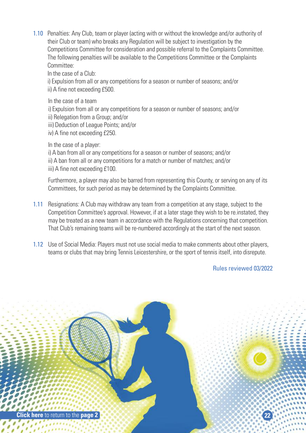1.10 Penalties: Any Club, team or player (acting with or without the knowledge and/or authority of their Club or team) who breaks any Regulation will be subject to investigation by the Competitions Committee for consideration and possible referral to the Complaints Committee. The following penalties will be available to the Competitions Committee or the Complaints Committee:

In the case of a Club:

 i) Expulsion from all or any competitions for a season or number of seasons; and/or ii) A fine not exceeding £500.

In the case of a team

i) Expulsion from all or any competitions for a season or number of seasons; and/or

- ii) Relegation from a Group; and/or
- iii) Deduction of League Points; and/or
- iv) A fine not exceeding £250.

In the case of a player:

 i) A ban from all or any competitions for a season or number of seasons; and/or ii) A ban from all or any competitions for a match or number of matches; and/or iii) A fine not exceeding £100.

 Furthermore, a player may also be barred from representing this County, or serving on any of its Committees, for such period as may be determined by the Complaints Committee.

- 1.11 Resignations: A Club may withdraw any team from a competition at any stage, subject to the Competition Committee's approval. However, if at a later stage they wish to be re.instated, they may be treated as a new team in accordance with the Regulations concerning that competition. That Club's remaining teams will be re-numbered accordingly at the start of the next season.
- 1.12 Use of Social Media: Players must not use social media to make comments about other players, teams or clubs that may bring Tennis Leicestershire, or the sport of tennis itself, into disrepute.

Rules reviewed 03/2022

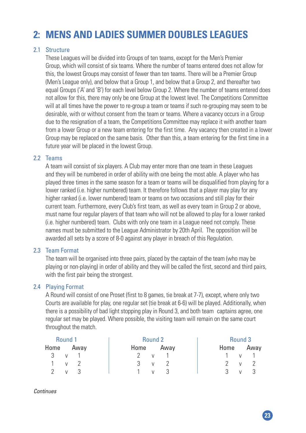### **2: MENS AND LADIES SUMMER DOUBLES LEAGUES**

#### 2.1 Structure

 These Leagues will be divided into Groups of ten teams, except for the Men's Premier Group, which will consist of six teams. Where the number of teams entered does not allow for this, the lowest Groups may consist of fewer than ten teams. There will be a Premier Group (Men's League only), and below that a Group 1, and below that a Group 2, and thereafter two equal Groups ('A' and 'B') for each level below Group 2. Where the number of teams entered does not allow for this, there may only be one Group at the lowest level. The Competitions Committee will at all times have the power to re-group a team or teams if such re-grouping may seem to be desirable, with or without consent from the team or teams. Where a vacancy occurs in a Group due to the resignation of a team, the Competitions Committee may replace it with another team from a lower Group or a new team entering for the first time. Any vacancy then created in a lower Group may be replaced on the same basis. Other than this, a team entering for the first time in a future year will be placed in the lowest Group.

#### 2.2 Teams

 A team will consist of six players. A Club may enter more than one team in these Leagues and they will be numbered in order of ability with one being the most able. A player who has played three times in the same season for a team or teams will be disqualified from playing for a lower ranked (i.e. higher numbered) team. It therefore follows that a player may play for any higher ranked (i.e. lower numbered) team or teams on two occasions and still play for their current team. Furthermore, every Club's first team, as well as every team in Group 2 or above, must name four regular players of that team who will not be allowed to play for a lower ranked (i.e. higher numbered) team. Clubs with only one team in a League need not comply. These names must be submitted to the League Administrator by 20th April. The opposition will be awarded all sets by a score of 8-0 against any player in breach of this Regulation.

#### 2.3 Team Format

 The team will be organised into three pairs, placed by the captain of the team (who may be playing or non-playing) in order of ability and they will be called the first, second and third pairs, with the first pair being the strongest.

#### 2.4 Playing Format

 A Round will consist of one Proset (first to 8 games, tie break at 7-7), except, where only two Courts are available for play, one regular set (tie break at 6-6) will be played. Additionally, when there is a possibility of bad light stopping play in Round 3, and both team captains agree, one regular set may be played. Where possible, the visiting team will remain on the same court throughout the match.

| Round 1             |      | Round 2 |      | Round 3 |               |
|---------------------|------|---------|------|---------|---------------|
| Home                | Away | Home    | Awav | Home    | Away          |
| 3 v 1               |      | 2<br>V  |      | V       |               |
| $1 \quad v \quad 2$ |      | 3 v 2   |      |         | v 2           |
| 2<br>$\mathsf{V}$   | - 3  | V       | - 3  | 3<br>V  | $\mathcal{L}$ |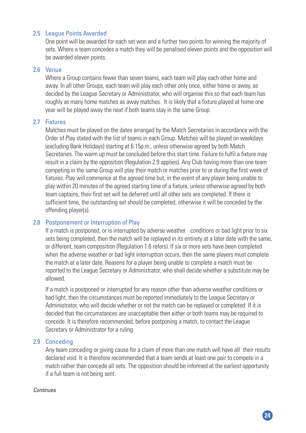#### 2.5 League Points Awarded

 One point will be awarded for each set won and a further two points for winning the majority of sets. Where a team concedes a match they will be penalised eleven points and the opposition will be awarded eleven points.

#### 2.6 Venue

 Where a Group contains fewer than seven teams, each team will play each other home and away. In all other Groups, each team will play each other only once, either home or away, as decided by the League Secretary or Administrator, who will organise this so that each team has roughly as many home matches as away matches. It is likely that a fixture played at home one year will be played away the next if both teams stay in the same Group.

#### 2.7 Fixtures

 Matches must be played on the dates arranged by the Match Secretaries in accordance with the Order of Play stated with the list of teams in each Group. Matches will be played on weekdays (excluding Bank Holidays) starting at 6.15p.m., unless otherwise agreed by both Match Secretaries. The warm up must be concluded before this start time. Failure to fulfil a fixture may result in a claim by the opposition (Regulation 2.9 applies). Any Club having more than one team competing in the same Group will play their match or matches prior to or during the first week of fixtures. Play will commence at the agreed time but, in the event of any player being unable to play within 20 minutes of the agreed starting time of a fixture, unless otherwise agreed by both team captains, their first set will be deferred until all other sets are completed. If there is sufficient time, the outstanding set should be completed, otherwise it will be conceded by the offending player(s).

#### 2.8 Postponement or Interruption of Play

If a match is postponed, or is interrupted by adverse weather conditions or bad light prior to six sets being completed, then the match will be replayed in its entirety at a later date with the same, or different, team composition (Regulation 1.6 refers). If six or more sets have been completed when the adverse weather or bad light interruption occurs, then the same players must complete the match at a later date. Reasons for a player being unable to complete a match must be reported to the League Secretary or Administrator, who shall decide whether a substitute may be allowed.

 If a match is postponed or interrupted for any reason other than adverse weather conditions or bad light, then the circumstances must be reported immediately to the League Secretary or Administrator, who will decide whether or not the match can be replayed or completed. If it is decided that the circumstances are unacceptable then either or both teams may be required to concede. It is therefore recommended, before postponing a match, to contact the League Secretary or Administrator for a ruling.

#### 2.9 Conceding

 Any team conceding or giving cause for a claim of more than one match will have all their results declared void. It is therefore recommended that a team sends at least one pair to compete in a match rather than concede all sets. The opposition should be informed at the earliest opportunity if a full team is not being sent.

#### *Continues*

**24**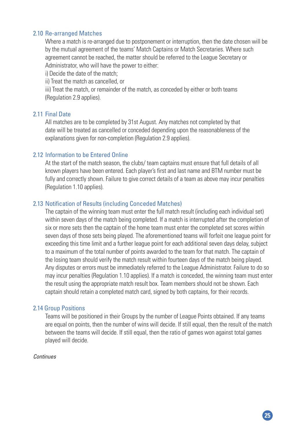#### 2.10 Re-arranged Matches

Where a match is re-arranged due to postponement or interruption, then the date chosen will be by the mutual agreement of the teams' Match Captains or Match Secretaries. Where such agreement cannot be reached, the matter should be referred to the League Secretary or Administrator, who will have the power to either:

i) Decide the date of the match;

ii) Treat the match as cancelled, or

 iii) Treat the match, or remainder of the match, as conceded by either or both teams (Regulation 2.9 applies).

#### 2.11 Final Date

 All matches are to be completed by 31st August. Any matches not completed by that date will be treated as cancelled or conceded depending upon the reasonableness of the explanations given for non-completion (Regulation 2.9 applies).

#### 2.12 Information to be Entered Online

 At the start of the match season, the clubs/ team captains must ensure that full details of all known players have been entered. Each player's first and last name and BTM number must be fully and correctly shown. Failure to give correct details of a team as above may incur penalties (Regulation 1.10 applies).

#### 2.13 Notification of Results (including Conceded Matches)

 The captain of the winning team must enter the full match result (including each individual set) within seven days of the match being completed. If a match is interrupted after the completion of six or more sets then the captain of the home team must enter the completed set scores within seven days of those sets being played. The aforementioned teams will forfeit one league point for exceeding this time limit and a further league point for each additional seven days delay, subject to a maximum of the total number of points awarded to the team for that match. The captain of the losing team should verify the match result within fourteen days of the match being played. Any disputes or errors must be immediately referred to the League Administrator. Failure to do so may incur penalties (Regulation 1.10 applies). If a match is conceded, the winning team must enter the result using the appropriate match result box. Team members should not be shown. Each captain should retain a completed match card, signed by both captains, for their records.

#### 2.14 Group Positions

 Teams will be positioned in their Groups by the number of League Points obtained. If any teams are equal on points, then the number of wins will decide. If still equal, then the result of the match between the teams will decide. If still equal, then the ratio of games won against total games played will decide.

#### *Continues*

**25**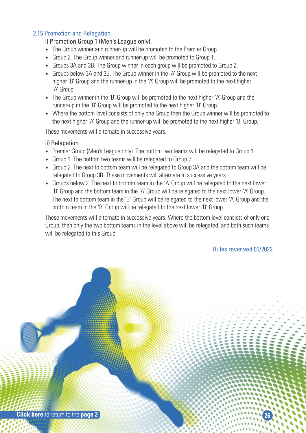#### 2.15 Promotion and Relegation

#### i) Promotion Group 1 (Men's League only).

- The Group winner and runner-up will be promoted to the Premier Group.
- Group 2. The Group winner and runner-up will be promoted to Group 1.
- Groups 3A and 3B. The Group winner in each group will be promoted to Group 2.
- Groups below 3A and 3B. The Group winner in the 'A' Group will be promoted to the next higher 'B' Group and the runner-up in the 'A' Group will be promoted to the next higher 'A' Group.
- The Group winner in the 'B' Group will be promoted to the next higher 'A' Group and the runner-up in the 'B' Group will be promoted to the next higher 'B' Group.
- Where the bottom level consists of only one Group then the Group winner will be promoted to the next higher 'A' Group and the runner-up will be promoted to the next higher 'B' Group.

These movements will alternate in successive years.

#### ii) Relegation

- Premier Group (Men's League only). The bottom two teams will be relegated to Group 1.
- Group 1. The bottom two teams will be relegated to Group 2.
- Group 2. The next to bottom team will be relegated to Group 3A and the bottom team will be relegated to Group 3B. These movements will alternate in successive years.
- Groups below 2. The next to bottom team in the 'A' Group will be relegated to the next lower 'B' Group and the bottom team in the 'A' Group will be relegated to the next lower 'A' Group. The next to bottom team in the 'B' Group will be relegated to the next lower 'A' Group and the bottom team in the 'B' Group will be relegated to the next lower 'B' Group.

 These movements will alternate in successive years. Where the bottom level consists of only one Group, then only the two bottom teams in the level above will be relegated, and both such teams will be relegated to this Group.

#### Rules reviewed 03/2022

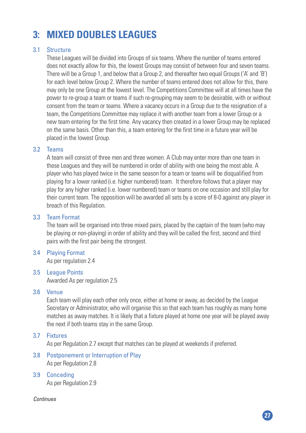### **3: MIXED DOUBLES LEAGUES**

#### 3.1 Structure

 These Leagues will be divided into Groups of six teams. Where the number of teams entered does not exactly allow for this, the lowest Groups may consist of between four and seven teams. There will be a Group 1, and below that a Group 2, and thereafter two equal Groups ('A' and 'B') for each level below Group 2. Where the number of teams entered does not allow for this, there may only be one Group at the lowest level. The Competitions Committee will at all times have the power to re-group a team or teams if such re-grouping may seem to be desirable, with or without consent from the team or teams. Where a vacancy occurs in a Group due to the resignation of a team, the Competitions Committee may replace it with another team from a lower Group or a new team entering for the first time. Any vacancy then created in a lower Group may be replaced on the same basis. Other than this, a team entering for the first time in a future year will be placed in the lowest Group.

#### 3.2 Teams

 A team will consist of three men and three women. A Club may enter more than one team in these Leagues and they will be numbered in order of ability with one being the most able. A player who has played twice in the same season for a team or teams will be disqualified from playing for a lower ranked (i.e. higher numbered) team. It therefore follows that a player may play for any higher ranked (i.e. lower numbered) team or teams on one occasion and still play for their current team. The opposition will be awarded all sets by a score of 8-0 against any player in breach of this Regulation.

#### 3.3 Team Format

 The team will be organised into three mixed pairs, placed by the captain of the team (who may be playing or non-playing) in order of ability and they will be called the first, second and third pairs with the first pair being the strongest.

#### 3.4 Playing Format

As per regulation 2.4

3.5 League Points Awarded As per regulation 2.5

#### 3.6 Venue

 Each team will play each other only once, either at home or away, as decided by the League Secretary or Administrator, who will organise this so that each team has roughly as many home matches as away matches. It is likely that a fixture played at home one year will be played away the next if both teams stay in the same Group.

#### 3.7 Fixtures

As per Regulation 2.7 except that matches can be played at weekends if preferred.

- 3.8 Postponement or Interruption of Play As per Regulation 2.8
- 3.9 Conceding As per Regulation 2.9

*Continues*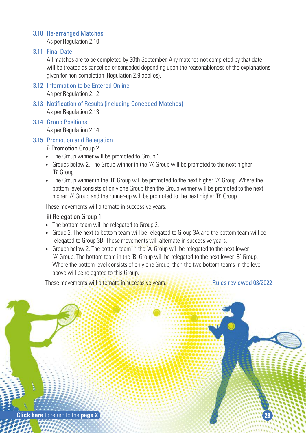#### 3.10 Re-arranged Matches

As per Regulation 2.10

#### 3.11 Final Date

 All matches are to be completed by 30th September. Any matches not completed by that date will be treated as cancelled or conceded depending upon the reasonableness of the explanations given for non-completion (Regulation 2.9 applies).

- 3.12 Information to be Entered Online As per Regulation 2.12
- 3.13 Notification of Results (including Conceded Matches) As per Regulation 2.13

#### 3.14 Group Positions

As per Regulation 2.14

#### 3.15 Promotion and Relegation

#### i) Promotion Group 2

- The Group winner will be promoted to Group 1.
- Groups below 2. The Group winner in the 'A' Group will be promoted to the next higher 'B' Group.
- The Group winner in the 'B' Group will be promoted to the next higher 'A' Group. Where the bottom level consists of only one Group then the Group winner will be promoted to the next higher 'A' Group and the runner-up will be promoted to the next higher 'B' Group.

These movements will alternate in successive years.

#### ii) Relegation Group 1

- The bottom team will be relegated to Group 2.
- Group 2. The next to bottom team will be relegated to Group 3A and the bottom team will be relegated to Group 3B. These movements will alternate in successive years.
- Groups below 2. The bottom team in the 'A' Group will be relegated to the next lower 'A' Group. The bottom team in the 'B' Group will be relegated to the next lower 'B' Group. Where the bottom level consists of only one Group, then the two bottom teams in the level above will be relegated to this Group.

These movements will alternate in successive years. **Research 2008** Rules reviewed 03/2022

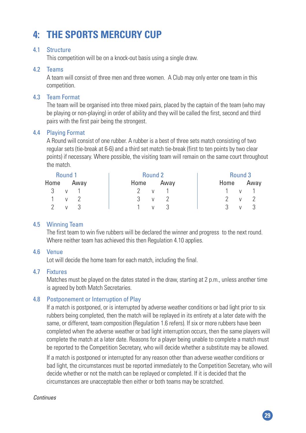### **4: THE SPORTS MERCURY CUP**

#### 4.1 Structure

This competition will be on a knock-out basis using a single draw.

#### 4.2 Teams

 A team will consist of three men and three women. A Club may only enter one team in this competition.

#### 4.3 Team Format

 The team will be organised into three mixed pairs, placed by the captain of the team (who may be playing or non-playing) in order of ability and they will be called the first, second and third pairs with the first pair being the strongest.

#### 4.4 Playing Format

 A Round will consist of one rubber. A rubber is a best of three sets match consisting of two regular sets (tie-break at 6-6) and a third set match tie-break (first to ten points by two clear points) if necessary. Where possible, the visiting team will remain on the same court throughout the match.

| Round 1      |                          | Round 2 |                |      | Round 3      |
|--------------|--------------------------|---------|----------------|------|--------------|
| Home Away    |                          | Home    | Away           | Home | Away         |
| 3 v 1        |                          | V       |                |      | $\mathsf{V}$ |
| 1 v 2        |                          | 3       | v <sub>2</sub> |      | - 2<br>V     |
| $\mathsf{V}$ | $\overline{\phantom{a}}$ | V       | -3             | ્ર   | $\mathsf{V}$ |

#### 4.5 Winning Team

 The first team to win five rubbers will be declared the winner and progress to the next round. Where neither team has achieved this then Regulation 4.10 applies.

#### 4.6 Venue

Lot will decide the home team for each match, including the final.

#### 4.7 Fixtures

 Matches must be played on the dates stated in the draw, starting at 2 p.m., unless another time is agreed by both Match Secretaries.

#### 4.8 Postponement or Interruption of Play

 If a match is postponed, or is interrupted by adverse weather conditions or bad light prior to six rubbers being completed, then the match will be replayed in its entirety at a later date with the same, or different, team composition (Regulation 1.6 refers). If six or more rubbers have been completed when the adverse weather or bad light interruption occurs, then the same players will complete the match at a later date. Reasons for a player being unable to complete a match must be reported to the Competition Secretary, who will decide whether a substitute may be allowed.

 If a match is postponed or interrupted for any reason other than adverse weather conditions or bad light, the circumstances must be reported immediately to the Competition Secretary, who will decide whether or not the match can be replayed or completed. If it is decided that the circumstances are unacceptable then either or both teams may be scratched.

**29**

#### *Continues*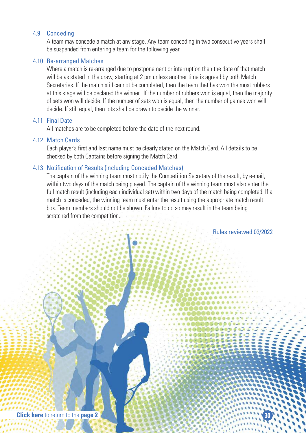#### 4.9 Conceding

 A team may concede a match at any stage. Any team conceding in two consecutive years shall be suspended from entering a team for the following year.

#### 4.10 Re-arranged Matches

Where a match is re-arranged due to postponement or interruption then the date of that match will be as stated in the draw, starting at 2 pm unless another time is agreed by both Match Secretaries. If the match still cannot be completed, then the team that has won the most rubbers at this stage will be declared the winner. If the number of rubbers won is equal, then the majority of sets won will decide. If the number of sets won is equal, then the number of games won will decide. If still equal, then lots shall be drawn to decide the winner.

#### 4.11 Final Date

All matches are to be completed before the date of the next round.

#### 4.12 Match Cards

 Each player's first and last name must be clearly stated on the Match Card. All details to be checked by both Captains before signing the Match Card.

#### 4.13 Notification of Results (including Conceded Matches)

 The captain of the winning team must notify the Competition Secretary of the result, by e-mail, within two days of the match being played. The captain of the winning team must also enter the full match result (including each individual set) within two days of the match being completed. If a match is conceded, the winning team must enter the result using the appropriate match result box. Team members should not be shown. Failure to do so may result in the team being scratched from the competition.

Rules reviewed 03/2022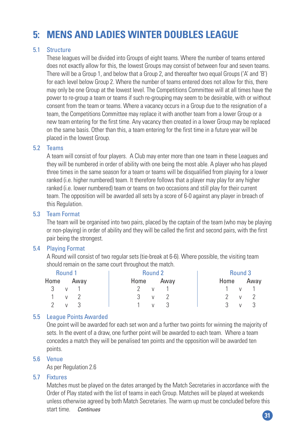### **5: MENS AND LADIES WINTER DOUBLES LEAGUE**

#### 5.1 Structure

 These leagues will be divided into Groups of eight teams. Where the number of teams entered does not exactly allow for this, the lowest Groups may consist of between four and seven teams. There will be a Group 1, and below that a Group 2, and thereafter two equal Groups ('A' and 'B') for each level below Group 2. Where the number of teams entered does not allow for this, there may only be one Group at the lowest level. The Competitions Committee will at all times have the power to re-group a team or teams if such re-grouping may seem to be desirable, with or without consent from the team or teams. Where a vacancy occurs in a Group due to the resignation of a team, the Competitions Committee may replace it with another team from a lower Group or a new team entering for the first time. Any vacancy then created in a lower Group may be replaced on the same basis. Other than this, a team entering for the first time in a future year will be placed in the lowest Group.

#### 5.2 Teams

 A team will consist of four players. A Club may enter more than one team in these Leagues and they will be numbered in order of ability with one being the most able. A player who has played three times in the same season for a team or teams will be disqualified from playing for a lower ranked (i.e. higher numbered) team. It therefore follows that a player may play for any higher ranked (i.e. lower numbered) team or teams on two occasions and still play for their current team. The opposition will be awarded all sets by a score of 6-0 against any player in breach of this Regulation.

#### 5.3 Team Format

 The team will be organised into two pairs, placed by the captain of the team (who may be playing or non-playing) in order of ability and they will be called the first and second pairs, with the first pair being the strongest.

#### 5.4 Playing Format

 A Round will consist of two regular sets (tie-break at 6-6). Where possible, the visiting team should remain on the same court throughout the match.

| Round 1             |                |      | Round 2            |      | Round 3             |
|---------------------|----------------|------|--------------------|------|---------------------|
| Home                | Away           | Home | Away               | Home | Away                |
| $3 \nu$             |                |      | $\mathsf{V}$       |      | $\mathsf{V}$        |
| $1 \quad v \quad 2$ |                | 3    | V                  |      | V                   |
| $\mathcal{P}$       | v <sub>3</sub> |      | $\mathcal{R}$<br>V | 3    | - 3<br>$\mathsf{V}$ |

#### 5.5 League Points Awarded

 One point will be awarded for each set won and a further two points for winning the majority of sets. In the event of a draw, one further point will be awarded to each team. Where a team concedes a match they will be penalised ten points and the opposition will be awarded ten points.

#### 5.6 Venue

As per Regulation 2.6

#### 5.7 Fixtures

 Matches must be played on the dates arranged by the Match Secretaries in accordance with the Order of Play stated with the list of teams in each Group. Matches will be played at weekends unless otherwise agreed by both Match Secretaries. The warm up must be concluded before this start time. *Continues*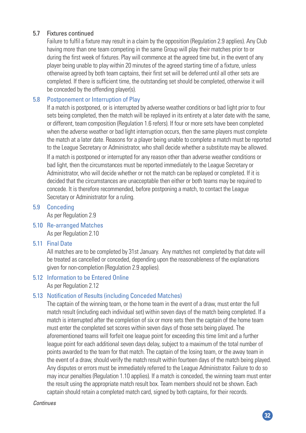#### 5.7 Fixtures continued

 Failure to fulfil a fixture mayresult in a claim bythe opposition (Regulation 2.9 applies). Any Club having more than one team competing in the same Group will playtheir matches prior to or during the first week of fixtures. Play will commence at the agreed time but, in the event of any player being unable to play within 20 minutes of the agreed starting time of a fixture, unless otherwise agreed by both team captains, their first set will be deferred until all other sets are completed. If there is sufficient time, the outstanding set should be completed, otherwise it will be conceded by the offending player(s).

#### 5.8 Postponement or Interruption of Play

If a match is postponed, or is interrupted by adverse weather conditions or bad light prior to four sets being completed, then the match will be replayed in its entirety at a later date with the same, or different, team composition (Regulation 1.6 refers). If four or more sets have been completed when the adverse weather or bad light interruption occurs, then the same players must complete the match at a later date. Reasons for a player being unable to complete a match must be reported to the League Secretary or Administrator, who shall decide whether a substitute may be allowed. If a match is postponed or interrupted for any reason other than adverse weather conditions or bad light, then the circumstances must be reported immediately to the League Secretary or Administrator, who will decide whether or not the match can be replayed or completed. If it is decided that the circumstances are unacceptable then either or both teams may be required to concede. It is therefore recommended, before postponing a match, to contact the League Secretary or Administrator for a ruling.

#### 5.9 Conceding

As per Regulation 2.9

#### 5.10 Re-arranged Matches As per Regulation 2.10

#### 5.11 Final Date

All matches are to be completed by 31st January. Any matches not completed by that date will be treated as cancelled or conceded, depending upon the reasonableness of the explanations given for non-completion (Regulation 2.9 applies).

#### 5.12 Information to be Entered Online

As per Regulation 2.12

#### 5.13 Notification of Results (including Conceded Matches)

 The captain of the winning team, or the home team in the event of a draw, must enter the full match result (including each individualset) within seven days of the match being completed. If a match is interrupted after the completion of six or more sets then the captain of the home team must enter the completed set scores within seven days of those sets being played. The aforementioned teams will forfeit one league point for exceeding this time limit and a further league point for each additional seven days delay, subject to a maximum of the total number of points awarded to the team for that match. The captain of the losing team, or the awayteam in the event of a draw, should verify the match result within fourteen days of the match being played. Any disputes or errors must be immediately referred to the League Administrator. Failure to do so may incur penalties (Regulation 1.10 applies). If a match is conceded, the winning team must enter the result using the appropriate match result box. Team members should not be shown. Each captain should retain a completed match card, signed by both captains, for their records.

*Continues*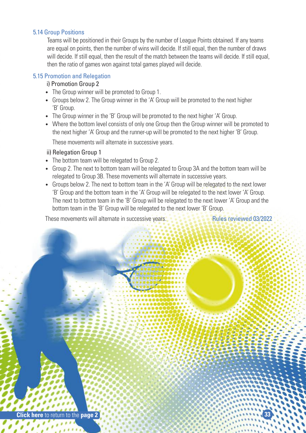#### 5.14 Group Positions

Teams will be positioned in their Groups by the number of League Points obtained. If any teams are equal on points, then the number of wins will decide. If still equal, then the number of draws will decide. If still equal, then the result of the match between the teams will decide. If still equal, then the ratio of games won against total games played will decide.

#### 5.15 Promotion and Relegation

#### i) Promotion Group 2

- The Group winner will be promoted to Group 1.
- Groups below 2. The Group winner in the 'A' Group will be promoted to the next higher 'B' Group.
- The Group winner in the 'B' Group will be promoted to the next higher 'A' Group.
- Where the bottom level consists of only one Group then the Group winner will be promoted to the next higher 'A' Group and the runner-up will be promoted to the next higher 'B' Group.

These movements will alternate in successive years.

#### ii) Relegation Group 1

- The bottom team will be relegated to Group 2.
- Group 2. The next to bottom team will be relegated to Group 3A and the bottom team will be relegated to Group 3B. These movements will alternate in successive years.
- Groups below 2. The next to bottom team in the 'A' Group will be relegated to the next lower 'B' Group and the bottom team in the 'A' Group will be relegated to the next lower 'A' Group. The next to bottom team in the 'B' Group will be relegated to the next lower 'A' Group and the bottom team in the 'B' Group will be relegated to the next lower 'B' Group.

These movements will alternate in successive years. These is a series all Rules reviewed 03/2022

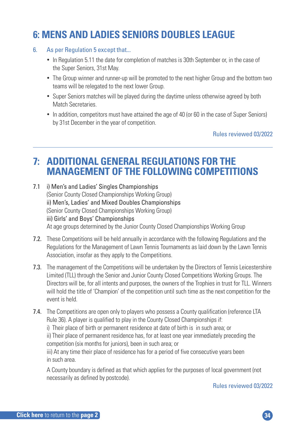### **6: MENS AND LADIES SENIORS DOUBLES LEAGUE**

- 6. As per Regulation 5 except that...
	- In Regulation 5.11 the date for completion of matches is 30th September or, in the case of the Super Seniors, 31st May.
	- The Group winner and runner-up will be promoted to the next higher Group and the bottom two teams will be relegated to the next lower Group.
	- Super Seniors matches will be played during the daytime unless otherwise agreed by both Match Secretaries.
	- In addition, competitors must have attained the age of 40 (or 60 in the case of Super Seniors) by 31st December in the year of competition.

Rules reviewed 03/2022

## **7: ADDITIONAL GENERAL REGULATIONS FOR THE MANAGEMENT OF THE FOLLOWING COMPETITIONS**

7.1 i) Men's and Ladies' Singles Championships (Senior County Closed Championships Working Group) ii) Men's, Ladies' and Mixed Doubles Championships (Senior County Closed Championships Working Group) iii) Girls' and Boys' Championships At age groups determined by the Junior County Closed Championships Working Group

- 7.2. These Competitions will be held annually in accordance with the following Regulations and the Regulations for the Management of Lawn Tennis Tournaments as laid down by the Lawn Tennis Association, insofar as they apply to the Competitions.
- 7.3. The management of the Competitions will be undertaken by the Directors of Tennis Leicestershire Limited (TLL) through the Senior and Junior County Closed Competitions Working Groups. The Directors will be, for all intents and purposes, the owners of the Trophies in trust for TLL. Winners will hold the title of 'Champion' of the competition until such time as the next competition for the event is held.
- 7.4. The Competitions are open only to players who possess a County qualification (reference LTA Rule 36). A player is qualified to play in the County Closed Championships if: i) Their place of birth or permanent residence at date of birth is in such area; or ii) Their place of permanent residence has, for at least one year immediately preceding the competition (six months for juniors), been in such area; or iii) At any time their place of residence has for a period of five consecutive years been in such area.

A County boundary is defined as that which applies for the purposes of local government (not necessarily as defined by postcode).

Rules reviewed 03/2022

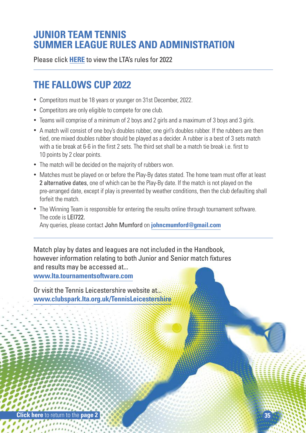### **JUNIOR TEAM TENNIS SUMMER LEAGUE RULES AND ADMINISTRATION**

Please click **HERE** to view the LTA's rules for 2022

### **THE FALLOWS CUP 2022**

- Competitors must be 18 years or younger on 31st December, 2022.
- Competitors are only eligible to compete for one club.
- Teams will comprise of a minimum of 2 boys and 2 girls and a maximum of 3 boys and 3 girls.
- A match will consist of one boy's doubles rubber, one girl's doubles rubber. If the rubbers are then tied, one mixed doubles rubber should be played as a decider. A rubber is a best of 3 sets match with a tie break at 6-6 in the first 2 sets. The third set shall be a match tie break i.e. first to 10 points by 2 clear points.
- The match will be decided on the majority of rubbers won.
- Matches must be played on or before the Play-By dates stated. The home team must offer at least 2 alternative dates, one of which can be the Play-By date. If the match is not played on the pre-arranged date, except if play is prevented by weather conditions, then the club defaulting shall forfeit the match.
- The Winning Team is responsible for entering the results online through tournament software. The code is LEI722.

Any queries, please contact John Mumford on **johncmumford@gmail.com**

Match play by dates and leagues are not included in the Handbook, however information relating to both Junior and Senior match fixtures and results may be accessed at...

**www.lta.tournamentsoftware.com**

Or visit the Tennis Leicestershire website at... **www.clubspark.lta.org.uk/TennisLeicestershire**